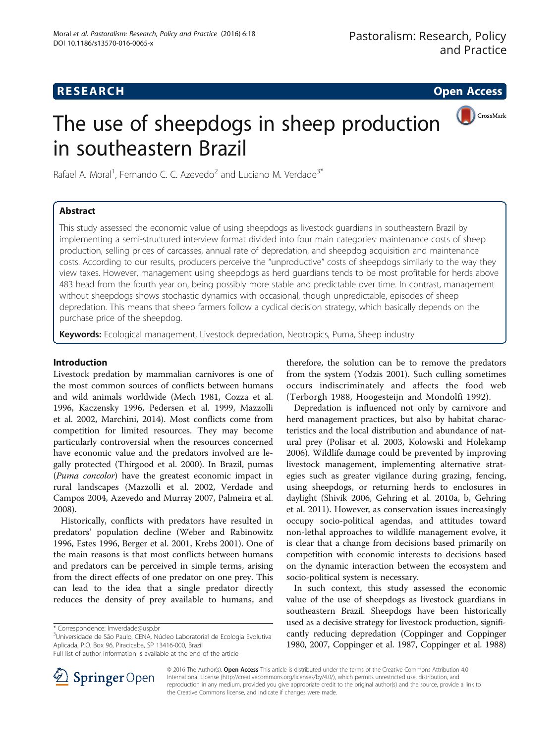# **RESEARCH CHE Open Access**

CrossMark

# The use of sheepdogs in sheep production in southeastern Brazil

Rafael A. Moral<sup>1</sup>, Fernando C. C. Azevedo<sup>2</sup> and Luciano M. Verdade<sup>3\*</sup>

# Abstract

This study assessed the economic value of using sheepdogs as livestock guardians in southeastern Brazil by implementing a semi-structured interview format divided into four main categories: maintenance costs of sheep production, selling prices of carcasses, annual rate of depredation, and sheepdog acquisition and maintenance costs. According to our results, producers perceive the "unproductive" costs of sheepdogs similarly to the way they view taxes. However, management using sheepdogs as herd guardians tends to be most profitable for herds above 483 head from the fourth year on, being possibly more stable and predictable over time. In contrast, management without sheepdogs shows stochastic dynamics with occasional, though unpredictable, episodes of sheep depredation. This means that sheep farmers follow a cyclical decision strategy, which basically depends on the purchase price of the sheepdog.

Keywords: Ecological management, Livestock depredation, Neotropics, Puma, Sheep industry

# Introduction

Livestock predation by mammalian carnivores is one of the most common sources of conflicts between humans and wild animals worldwide (Mech [1981](#page-6-0), Cozza et al. [1996](#page-6-0), Kaczensky [1996](#page-6-0), Pedersen et al. [1999](#page-6-0), Mazzolli et al. [2002](#page-6-0), Marchini, [2014](#page-6-0)). Most conflicts come from competition for limited resources. They may become particularly controversial when the resources concerned have economic value and the predators involved are legally protected (Thirgood et al. [2000\)](#page-6-0). In Brazil, pumas (Puma concolor) have the greatest economic impact in rural landscapes (Mazzolli et al. [2002,](#page-6-0) Verdade and Campos [2004,](#page-6-0) Azevedo and Murray [2007](#page-6-0), Palmeira et al. [2008](#page-6-0)).

Historically, conflicts with predators have resulted in predators' population decline (Weber and Rabinowitz [1996](#page-6-0), Estes [1996,](#page-6-0) Berger et al. [2001](#page-6-0), Krebs [2001\)](#page-6-0). One of the main reasons is that most conflicts between humans and predators can be perceived in simple terms, arising from the direct effects of one predator on one prey. This can lead to the idea that a single predator directly reduces the density of prey available to humans, and

therefore, the solution can be to remove the predators from the system (Yodzis [2001\)](#page-6-0). Such culling sometimes occurs indiscriminately and affects the food web (Terborgh [1988,](#page-6-0) Hoogesteijn and Mondolfi [1992\)](#page-6-0).

Depredation is influenced not only by carnivore and herd management practices, but also by habitat characteristics and the local distribution and abundance of natural prey (Polisar et al. [2003](#page-6-0), Kolowski and Holekamp [2006](#page-6-0)). Wildlife damage could be prevented by improving livestock management, implementing alternative strategies such as greater vigilance during grazing, fencing, using sheepdogs, or returning herds to enclosures in daylight (Shivik [2006](#page-6-0), Gehring et al. [2010a](#page-6-0), [b,](#page-6-0) Gehring et al. [2011](#page-6-0)). However, as conservation issues increasingly occupy socio-political agendas, and attitudes toward non-lethal approaches to wildlife management evolve, it is clear that a change from decisions based primarily on competition with economic interests to decisions based on the dynamic interaction between the ecosystem and socio-political system is necessary.

In such context, this study assessed the economic value of the use of sheepdogs as livestock guardians in southeastern Brazil. Sheepdogs have been historically used as a decisive strategy for livestock production, significantly reducing depredation (Coppinger and Coppinger [1980, 2007,](#page-6-0) Coppinger et al. [1987](#page-6-0), Coppinger et al. [1988](#page-6-0))



© 2016 The Author(s). Open Access This article is distributed under the terms of the Creative Commons Attribution 4.0 International License ([http://creativecommons.org/licenses/by/4.0/\)](http://creativecommons.org/licenses/by/4.0/), which permits unrestricted use, distribution, and reproduction in any medium, provided you give appropriate credit to the original author(s) and the source, provide a link to the Creative Commons license, and indicate if changes were made.

<sup>\*</sup> Correspondence: [lmverdade@usp.br](mailto:lmverdade@usp.br) <sup>3</sup>

<sup>&</sup>lt;sup>3</sup>Universidade de São Paulo, CENA, Núcleo Laboratorial de Ecologia Evolutiva Aplicada, P.O. Box 96, Piracicaba, SP 13416-000, Brazil

Full list of author information is available at the end of the article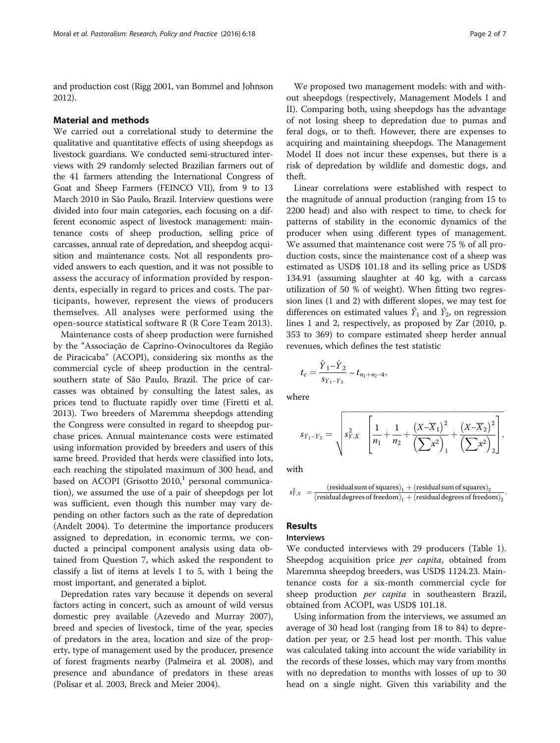and production cost (Rigg [2001,](#page-6-0) van Bommel and Johnson [2012\)](#page-6-0).

#### Material and methods

We carried out a correlational study to determine the qualitative and quantitative effects of using sheepdogs as livestock guardians. We conducted semi-structured interviews with 29 randomly selected Brazilian farmers out of the 41 farmers attending the International Congress of Goat and Sheep Farmers (FEINCO VII), from 9 to 13 March 2010 in São Paulo, Brazil. Interview questions were divided into four main categories, each focusing on a different economic aspect of livestock management: maintenance costs of sheep production, selling price of carcasses, annual rate of depredation, and sheepdog acquisition and maintenance costs. Not all respondents provided answers to each question, and it was not possible to assess the accuracy of information provided by respondents, especially in regard to prices and costs. The participants, however, represent the views of producers themselves. All analyses were performed using the open-source statistical software R (R Core Team [2013](#page-6-0)).

Maintenance costs of sheep production were furnished by the "Associação de Caprino-Ovinocultores da Região de Piracicaba" (ACOPI), considering six months as the commercial cycle of sheep production in the centralsouthern state of São Paulo, Brazil. The price of carcasses was obtained by consulting the latest sales, as prices tend to fluctuate rapidly over time (Firetti et al. [2013](#page-6-0)). Two breeders of Maremma sheepdogs attending the Congress were consulted in regard to sheepdog purchase prices. Annual maintenance costs were estimated using information provided by breeders and users of this same breed. Provided that herds were classified into lots, each reaching the stipulated maximum of 300 head, and based on ACOPI (Grisotto  $2010<sup>1</sup>$  personal communication), we assumed the use of a pair of sheepdogs per lot was sufficient, even though this number may vary depending on other factors such as the rate of depredation (Andelt [2004](#page-6-0)). To determine the importance producers assigned to depredation, in economic terms, we conducted a principal component analysis using data obtained from Question 7, which asked the respondent to classify a list of items at levels 1 to 5, with 1 being the most important, and generated a biplot.

Depredation rates vary because it depends on several factors acting in concert, such as amount of wild versus domestic prey available (Azevedo and Murray [2007](#page-6-0)), breed and species of livestock, time of the year, species of predators in the area, location and size of the property, type of management used by the producer, presence of forest fragments nearby (Palmeira et al. [2008](#page-6-0)), and presence and abundance of predators in these areas (Polisar et al. [2003,](#page-6-0) Breck and Meier [2004\)](#page-6-0).

We proposed two management models: with and without sheepdogs (respectively, Management Models I and II). Comparing both, using sheepdogs has the advantage of not losing sheep to depredation due to pumas and feral dogs, or to theft. However, there are expenses to acquiring and maintaining sheepdogs. The Management Model II does not incur these expenses, but there is a risk of depredation by wildlife and domestic dogs, and theft.

Linear correlations were established with respect to the magnitude of annual production (ranging from 15 to 2200 head) and also with respect to time, to check for patterns of stability in the economic dynamics of the producer when using different types of management. We assumed that maintenance cost were 75 % of all production costs, since the maintenance cost of a sheep was estimated as USD\$ 101.18 and its selling price as USD\$ 134.91 (assuming slaughter at 40 kg, with a carcass utilization of 50 % of weight). When fitting two regression lines (1 and 2) with different slopes, we may test for differences on estimated values  $\hat{Y}_1$  and  $\hat{Y}_2$ , on regression lines 1 and 2, respectively, as proposed by Zar ([2010](#page-6-0), p. 353 to 369) to compare estimated sheep herder annual revenues, which defines the test statistic

$$
t_c = \frac{\hat{Y}_1 - \hat{Y}_2}{s_{Y_1 - Y_2}} \sim t_{n_1 + n_2 - 4},
$$

where

$$
s_{Y_1-Y_2} = \sqrt{s_{Y.X}^2 \left[ \frac{1}{n_1} + \frac{1}{n_2} + \frac{(X-\overline{X}_1)^2}{(\sum x^2)_1} + \frac{(X-\overline{X}_2)^2}{(\sum x^2)_2} \right]},
$$

ffiffiffiffiffiffiffiffiffiffiffiffiffiffiffiffiffiffiffiffiffiffiffiffiffiffiffiffiffiffiffiffiffiffiffiffiffiffiffiffiffiffiffiffiffiffiffiffiffiffiffiffiffiffiffiffiffiffiffiffiffiffiffiffiffiffiffiffiffiffiffiffiffiffiffiffiffiffiffiffiffiffiffi

with

$$
s^2_{Y.X} \ = \frac{\left(\text{residual sum of squares}\right)_1 + \left(\text{residual sum of squares}\right)_2}{\left(\text{residual degrees of freedom}\right)_1 + \left(\text{residual degrees of freedom}\right)_2}.
$$

# Results

# Interviews

We conducted interviews with 29 producers (Table [1](#page-2-0)). Sheepdog acquisition price *per capita*, obtained from Maremma sheepdog breeders, was USD\$ 1124.23. Maintenance costs for a six-month commercial cycle for sheep production per capita in southeastern Brazil, obtained from ACOPI, was USD\$ 101.18.

Using information from the interviews, we assumed an average of 30 head lost (ranging from 18 to 84) to depredation per year, or 2.5 head lost per month. This value was calculated taking into account the wide variability in the records of these losses, which may vary from months with no depredation to months with losses of up to 30 head on a single night. Given this variability and the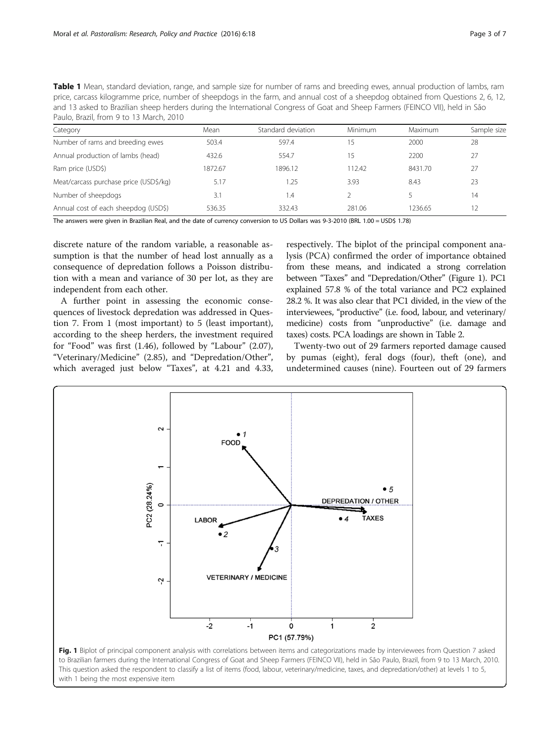<span id="page-2-0"></span>

| Table 1 Mean, standard deviation, range, and sample size for number of rams and breeding ewes, annual production of lambs, ram    |
|-----------------------------------------------------------------------------------------------------------------------------------|
| price, carcass kilogramme price, number of sheepdogs in the farm, and annual cost of a sheepdog obtained from Questions 2, 6, 12, |
| and 13 asked to Brazilian sheep herders during the International Congress of Goat and Sheep Farmers (FEINCO VII), held in São     |
| Paulo, Brazil, from 9 to 13 March, 2010                                                                                           |

| Category                               | Mean    | Standard deviation | <b>Minimum</b> | Maximum | Sample size |
|----------------------------------------|---------|--------------------|----------------|---------|-------------|
| Number of rams and breeding ewes       | 503.4   | 597.4              |                | 2000    | 28          |
| Annual production of lambs (head)      | 432.6   | 554.7              |                | 2200    | 27          |
| Ram price (USD\$)                      | 1872.67 | 1896.12            | 112.42         | 8431.70 | 27          |
| Meat/carcass purchase price (USD\$/kg) | 5.17    | 1.25               | 3.93           | 8.43    | 23          |
| Number of sheepdogs                    | 3.1     | $\overline{1.4}$   |                |         | 14          |
| Annual cost of each sheepdog (USD\$)   | 536.35  | 332.43             | 281.06         | 1236.65 | 12.         |

The answers were given in Brazilian Real, and the date of currency conversion to US Dollars was 9-3-2010 (BRL 1.00 = USD\$ 1.78)

discrete nature of the random variable, a reasonable assumption is that the number of head lost annually as a consequence of depredation follows a Poisson distribution with a mean and variance of 30 per lot, as they are independent from each other.

A further point in assessing the economic consequences of livestock depredation was addressed in Question 7. From 1 (most important) to 5 (least important), according to the sheep herders, the investment required for "Food" was first (1.46), followed by "Labour" (2.07), "Veterinary/Medicine" (2.85), and "Depredation/Other", which averaged just below "Taxes", at 4.21 and 4.33,

respectively. The biplot of the principal component analysis (PCA) confirmed the order of importance obtained from these means, and indicated a strong correlation between "Taxes" and "Depredation/Other" (Figure 1). PC1 explained 57.8 % of the total variance and PC2 explained 28.2 %. It was also clear that PC1 divided, in the view of the interviewees, "productive" (i.e. food, labour, and veterinary/ medicine) costs from "unproductive" (i.e. damage and taxes) costs. PCA loadings are shown in Table [2.](#page-3-0)

Twenty-two out of 29 farmers reported damage caused by pumas (eight), feral dogs (four), theft (one), and undetermined causes (nine). Fourteen out of 29 farmers

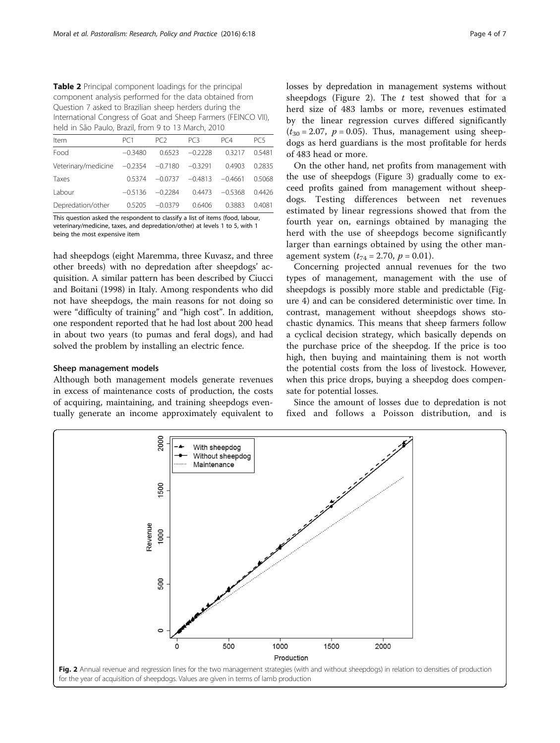<span id="page-3-0"></span>Table 2 Principal component loadings for the principal component analysis performed for the data obtained from Question 7 asked to Brazilian sheep herders during the International Congress of Goat and Sheep Farmers (FEINCO VII), held in São Paulo, Brazil, from 9 to 13 March, 2010

| PC <sub>1</sub> | PC <sub>2</sub> | PC3                                   | PC4                    | PC5       |  |  |  |  |
|-----------------|-----------------|---------------------------------------|------------------------|-----------|--|--|--|--|
| $-0.3480$       | 0.6523          | $-0.2228$                             | 0.3217                 | 0.5481    |  |  |  |  |
|                 |                 |                                       | 0.4903                 | 0.2835    |  |  |  |  |
| 0.5374          | $-0.0737$       |                                       |                        | 0.5068    |  |  |  |  |
| $-0.5136$       | $-0.2284$       | 0.4473                                | $-0.5368$              | 0.4426    |  |  |  |  |
| 0.5205          | $-0.0379$       | 0.6406                                | 0.3883                 | 0.4081    |  |  |  |  |
|                 |                 | Veterinary/medicine $-0.2354 -0.7180$ | $-0.3291$<br>$-0.4813$ | $-0.4661$ |  |  |  |  |

This question asked the respondent to classify a list of items (food, labour, veterinary/medicine, taxes, and depredation/other) at levels 1 to 5, with 1 being the most expensive item

had sheepdogs (eight Maremma, three Kuvasz, and three other breeds) with no depredation after sheepdogs' acquisition. A similar pattern has been described by Ciucci and Boitani [\(1998\)](#page-6-0) in Italy. Among respondents who did not have sheepdogs, the main reasons for not doing so were "difficulty of training" and "high cost". In addition, one respondent reported that he had lost about 200 head in about two years (to pumas and feral dogs), and had solved the problem by installing an electric fence.

## Sheep management models

Although both management models generate revenues in excess of maintenance costs of production, the costs of acquiring, maintaining, and training sheepdogs eventually generate an income approximately equivalent to losses by depredation in management systems without sheepdogs (Figure 2). The  $t$  test showed that for a herd size of 483 lambs or more, revenues estimated by the linear regression curves differed significantly  $(t_{30} = 2.07, p = 0.05)$ . Thus, management using sheepdogs as herd guardians is the most profitable for herds of 483 head or more.

On the other hand, net profits from management with the use of sheepdogs (Figure [3](#page-4-0)) gradually come to exceed profits gained from management without sheepdogs. Testing differences between net revenues estimated by linear regressions showed that from the fourth year on, earnings obtained by managing the herd with the use of sheepdogs become significantly larger than earnings obtained by using the other management system  $(t_{74} = 2.70, p = 0.01)$ .

Concerning projected annual revenues for the two types of management, management with the use of sheepdogs is possibly more stable and predictable (Figure [4](#page-4-0)) and can be considered deterministic over time. In contrast, management without sheepdogs shows stochastic dynamics. This means that sheep farmers follow a cyclical decision strategy, which basically depends on the purchase price of the sheepdog. If the price is too high, then buying and maintaining them is not worth the potential costs from the loss of livestock. However, when this price drops, buying a sheepdog does compensate for potential losses.

Since the amount of losses due to depredation is not fixed and follows a Poisson distribution, and is

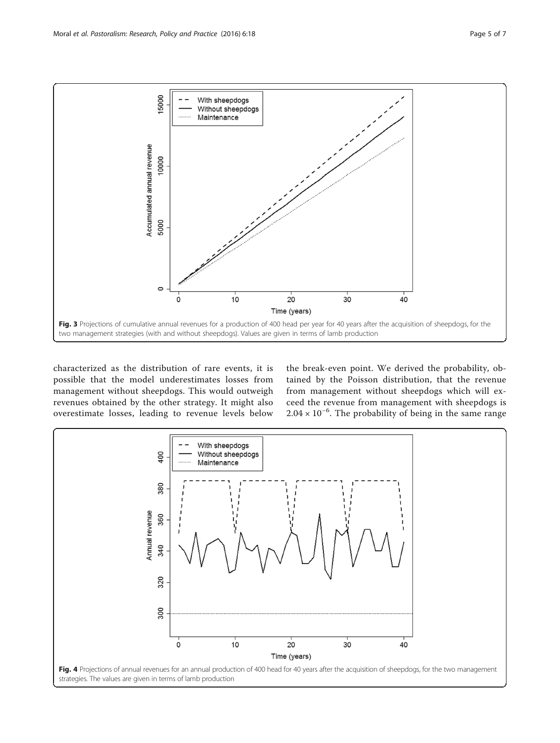<span id="page-4-0"></span>

characterized as the distribution of rare events, it is possible that the model underestimates losses from management without sheepdogs. This would outweigh revenues obtained by the other strategy. It might also overestimate losses, leading to revenue levels below

the break-even point. We derived the probability, obtained by the Poisson distribution, that the revenue from management without sheepdogs which will exceed the revenue from management with sheepdogs is 2.04 × 10−<sup>6</sup> . The probability of being in the same range

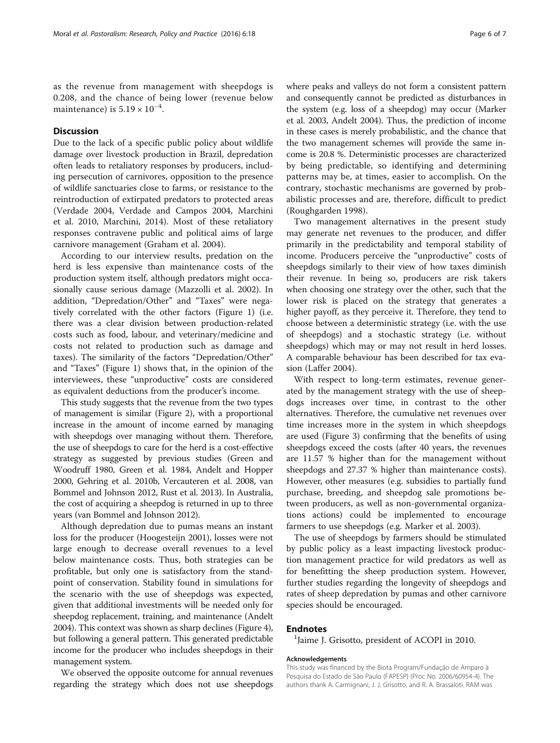as the revenue from management with sheepdogs is 0.208, and the chance of being lower (revenue below maintenance) is  $5.19 \times 10^{-4}$ .

# **Discussion**

Due to the lack of a specific public policy about wildlife damage over livestock production in Brazil, depredation often leads to retaliatory responses by producers, including persecution of carnivores, opposition to the presence of wildlife sanctuaries close to farms, or resistance to the reintroduction of extirpated predators to protected areas (Verdade [2004](#page-6-0), Verdade and Campos [2004](#page-6-0), Marchini et al. [2010,](#page-6-0) Marchini, [2014\)](#page-6-0). Most of these retaliatory responses contravene public and political aims of large carnivore management (Graham et al. [2004\)](#page-6-0).

According to our interview results, predation on the herd is less expensive than maintenance costs of the production system itself, although predators might occasionally cause serious damage (Mazzolli et al. [2002](#page-6-0)). In addition, "Depredation/Other" and "Taxes" were negatively correlated with the other factors (Figure [1\)](#page-2-0) (i.e. there was a clear division between production-related costs such as food, labour, and veterinary/medicine and costs not related to production such as damage and taxes). The similarity of the factors "Depredation/Other" and "Taxes" (Figure [1](#page-2-0)) shows that, in the opinion of the interviewees, these "unproductive" costs are considered as equivalent deductions from the producer's income.

This study suggests that the revenue from the two types of management is similar (Figure [2\)](#page-3-0), with a proportional increase in the amount of income earned by managing with sheepdogs over managing without them. Therefore, the use of sheepdogs to care for the herd is a cost-effective strategy as suggested by previous studies (Green and Woodruff [1980](#page-6-0), Green et al. [1984](#page-6-0), Andelt and Hopper [2000,](#page-6-0) Gehring et al. [2010b,](#page-6-0) Vercauteren et al. [2008](#page-6-0), van Bommel and Johnson [2012,](#page-6-0) Rust et al. [2013\)](#page-6-0). In Australia, the cost of acquiring a sheepdog is returned in up to three years (van Bommel and Johnson [2012\)](#page-6-0).

Although depredation due to pumas means an instant loss for the producer (Hoogesteijn [2001\)](#page-6-0), losses were not large enough to decrease overall revenues to a level below maintenance costs. Thus, both strategies can be profitable, but only one is satisfactory from the standpoint of conservation. Stability found in simulations for the scenario with the use of sheepdogs was expected, given that additional investments will be needed only for sheepdog replacement, training, and maintenance (Andelt [2004\)](#page-6-0). This context was shown as sharp declines (Figure [4](#page-4-0)), but following a general pattern. This generated predictable income for the producer who includes sheepdogs in their management system.

We observed the opposite outcome for annual revenues regarding the strategy which does not use sheepdogs where peaks and valleys do not form a consistent pattern and consequently cannot be predicted as disturbances in the system (e.g. loss of a sheepdog) may occur (Marker et al. [2003](#page-6-0), Andelt [2004\)](#page-6-0). Thus, the prediction of income in these cases is merely probabilistic, and the chance that the two management schemes will provide the same income is 20.8 %. Deterministic processes are characterized by being predictable, so identifying and determining patterns may be, at times, easier to accomplish. On the contrary, stochastic mechanisms are governed by probabilistic processes and are, therefore, difficult to predict (Roughgarden [1998\)](#page-6-0).

Two management alternatives in the present study may generate net revenues to the producer, and differ primarily in the predictability and temporal stability of income. Producers perceive the "unproductive" costs of sheepdogs similarly to their view of how taxes diminish their revenue. In being so, producers are risk takers when choosing one strategy over the other, such that the lower risk is placed on the strategy that generates a higher payoff, as they perceive it. Therefore, they tend to choose between a deterministic strategy (i.e. with the use of sheepdogs) and a stochastic strategy (i.e. without sheepdogs) which may or may not result in herd losses. A comparable behaviour has been described for tax evasion (Laffer [2004](#page-6-0)).

With respect to long-term estimates, revenue generated by the management strategy with the use of sheepdogs increases over time, in contrast to the other alternatives. Therefore, the cumulative net revenues over time increases more in the system in which sheepdogs are used (Figure [3\)](#page-4-0) confirming that the benefits of using sheepdogs exceed the costs (after 40 years, the revenues are 11.57 % higher than for the management without sheepdogs and 27.37 % higher than maintenance costs). However, other measures (e.g. subsidies to partially fund purchase, breeding, and sheepdog sale promotions between producers, as well as non-governmental organizations actions) could be implemented to encourage farmers to use sheepdogs (e.g. Marker et al. [2003\)](#page-6-0).

The use of sheepdogs by farmers should be stimulated by public policy as a least impacting livestock production management practice for wild predators as well as for benefitting the sheep production system. However, further studies regarding the longevity of sheepdogs and rates of sheep depredation by pumas and other carnivore species should be encouraged.

## **Endnotes**

<sup>1</sup> Jaime J. Grisotto, president of ACOPI in 2010.

## Acknowledgements

This study was financed by the Biota Program/Fundação de Amparo à Pesquisa do Estado de São Paulo (FAPESP) (Proc No. 2006/60954-4). The authors thank A. Carmignani, J. J. Grisotto, and R. A. Brassaloti. RAM was